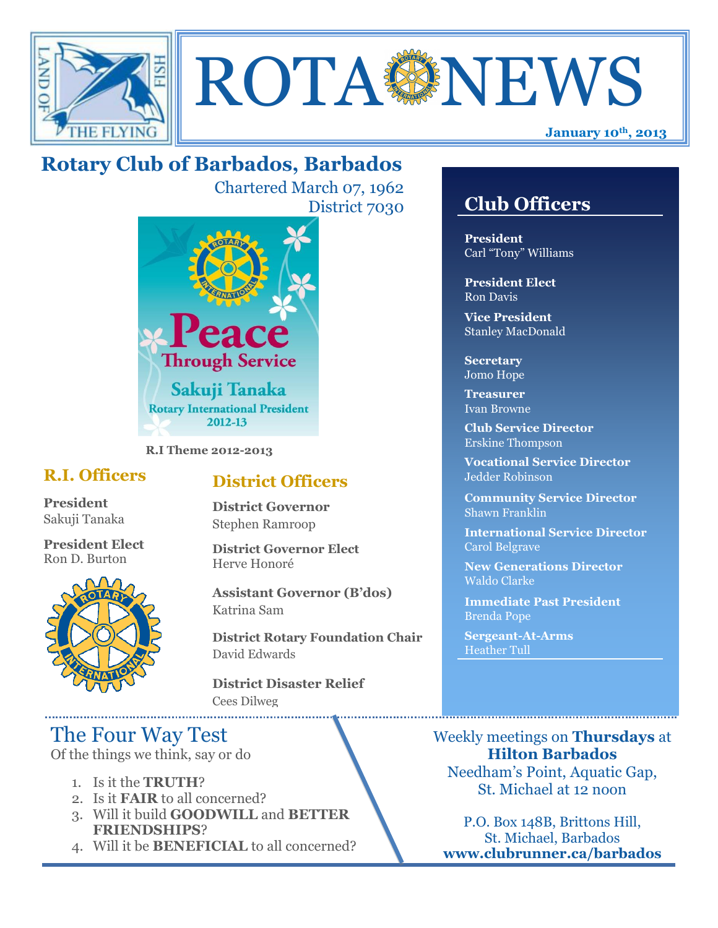



# **Rotary Club of Barbados, Barbados**

Chartered March 07, 1962 District 7030



**R.I Theme 2012-2013**

### **R.I. Officers**

**President**  Sakuji Tanaka

**President Elect** Ron D. Burton



### **District Officers**

**District Governor** Stephen Ramroop

**District Governor Elect** Herve Honoré

**Assistant Governor (B'dos)** Katrina Sam

**District Rotary Foundation Chair** David Edwards

**District Disaster Relief** Cees Dilweg

## The Four Way Test

Of the things we think, say or do

- 1. Is it the **TRUTH**?
- 2. Is it **FAIR** to all concerned?
- 3. Will it build **GOODWILL** and **BETTER FRIENDSHIPS**?
- 4. Will it be **BENEFICIAL** to all concerned?

## **Club Officers**

**Club Officers** 

**President** Carl "Tony" Williams

**President Elect** Ron Davis

**Vice President** Stanley MacDonald

**Secretary** Jomo Hope

**Treasurer** Ivan Browne

**Club Service Director** Erskine Thompson

**Vocational Service Director** Jedder Robinson

**Community Service Director** Shawn Franklin

**International Service Director** Carol Belgrave

**New Generations Director** Waldo Clarke

**Immediate Past President** Brenda Pope

**Sergeant-At-Arms** Heather Tull

Weekly meetings on **Thursdays** at **Hilton Barbados** Needham's Point, Aquatic Gap, St. Michael at 12 noon

P.O. Box 148B, Brittons Hill, St. Michael, Barbados **www.clubrunner.ca/barbados**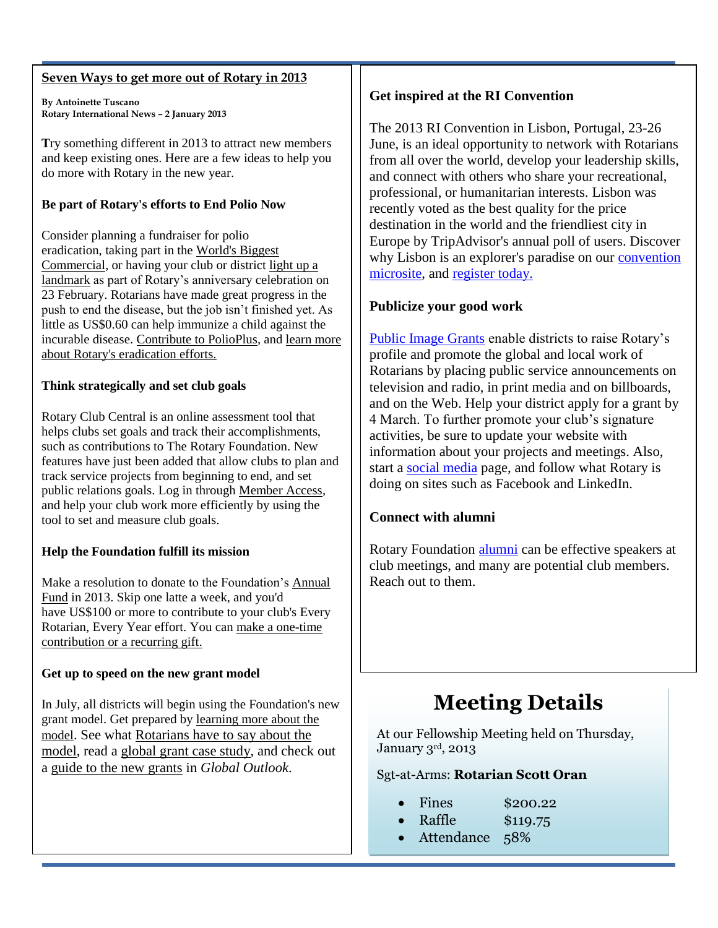#### **Seven Ways to get more out of Rotary in 2013**

**By Antoinette Tuscano Rotary International News – 2 January 2013**

**T**ry something different in 2013 to attract new members and keep existing ones. Here are a few ideas to help you do more with Rotary in the new year.

#### **Be part of Rotary's efforts to End Polio Now**

Consider planning a fundraiser for polio eradication, taking part in the [World's Biggest](http://www.endpolio.org/)  [Commercial,](http://www.endpolio.org/) or having your club or district [light up a](http://www.rotary.org/en/MediaAndNews/PressCenter/lightings/Pages/ridefault.aspx)  [landmark](http://www.rotary.org/en/MediaAndNews/PressCenter/lightings/Pages/ridefault.aspx) as part of Rotary's anniversary celebration on 23 February. Rotarians have made great progress in the push to end the disease, but the job isn't finished yet. As little as US\$0.60 can help immunize a child against the incurable disease. [Contribute to PolioPlus,](http://www.rotary.org/en/Contribute/Pages/ridefault.aspx) an[d learn more](http://www.rotary.org/EN/SERVICEANDFELLOWSHIP/POLIO/Pages/ridefault.aspx)  [about Rotary's eradication efforts.](http://www.rotary.org/EN/SERVICEANDFELLOWSHIP/POLIO/Pages/ridefault.aspx)

#### **Think strategically and set club goals**

Rotary Club Central is an online assessment tool that helps clubs set goals and track their accomplishments, such as contributions to The Rotary Foundation. New features have just been added that allow clubs to plan and track service projects from beginning to end, and set public relations goals. Log in throug[h Member Access,](http://map.rotary.org/en/selfservice/Pages/login.aspx) and help your club work more efficiently by using the tool to set and measure club goals.

#### **Help the Foundation fulfill its mission**

Make a resolution to donate to the Foundation's [Annual](http://www.rotary.org/en/Contribute/Funds/AnnualProgramsFund/Pages/ridefault.aspx)  [Fund](http://www.rotary.org/en/Contribute/Funds/AnnualProgramsFund/Pages/ridefault.aspx) in 2013. Skip one latte a week, and you'd have US\$100 or more to contribute to your club's Every Rotarian, Every Year effort. You can [make a one-time](http://www.rotary.org/EN/CONTRIBUTE/Pages/ridefault.aspx)  [contribution or a recurring gift.](http://www.rotary.org/EN/CONTRIBUTE/Pages/ridefault.aspx)

#### **Get up to speed on the new grant model**

In July, all districts will begin using the Foundation's new grant model. Get prepared by [learning more about the](http://www.rotary.org/en/AboutUs/TheRotaryFoundation/RotaryFoundationGrants/Pages/ridefault.aspx)  [model](http://www.rotary.org/en/AboutUs/TheRotaryFoundation/RotaryFoundationGrants/Pages/ridefault.aspx). See what Rotarians [have to say about the](http://vimeo.com/51473037)  [model,](http://vimeo.com/51473037) read a [global grant case study,](http://www.rotary.org/en/MediaAndNews/News/Pages/121113_news_globalgrants.aspx) and check out a [guide to the new grants](http://www.rotary.org/RIdocuments/en_pdf/global_outlook_1211_en.pdf) in *Global Outlook*.

#### **Get inspired at the RI Convention**

The 2013 RI Convention in Lisbon, Portugal, 23-26 June, is an ideal opportunity to network with Rotarians from all over the world, develop your leadership skills, and connect with others who share your recreational, professional, or humanitarian interests. Lisbon was recently voted as the best quality for the price destination in the world and the friendliest city in Europe by TripAdvisor's annual poll of users. Discover why Lisbon is an explorer's paradise on our convention [microsite,](http://www.riconvention.org/en/2013/Pages/ridefault.aspx) and [register today.](http://www.riconvention.org/en/2013/Register/Pages/ridefault.aspx)

#### **Publicize your good work**

[Public Image Grants](http://www.rotary.org/en/Members/RunningAClub/InformingTheCommunity/Pages/PRGrants.aspx) enable districts to raise Rotary's profile and promote the global and local work of Rotarians by placing public service announcements on television and radio, in print media and on billboards, and on the Web. Help your district apply for a grant by 4 March. To further promote your club's signature activities, be sure to update your website with information about your projects and meetings. Also, start a [social media](http://www.rotary.org/en/MediaAndNews/Multimedia/social_networking/Pages/ridefault.aspx) page, and follow what Rotary is doing on sites such as Facebook and LinkedIn.

#### **Connect with alumni**

Rotary Foundation [alumni](http://www.rotary.org/en/StudentsAndYouth/Alumni/Pages/ridefault.aspx) can be effective speakers at club meetings, and many are potential club members. Reach out to them.

# **Meeting Details**

At our Fellowship Meeting held on Thursday, January 3rd, 2013

#### Sgt-at-Arms: **Rotarian Scott Oran**

- Fines \$200.22
- Raffle \$119.75
- Attendance 58%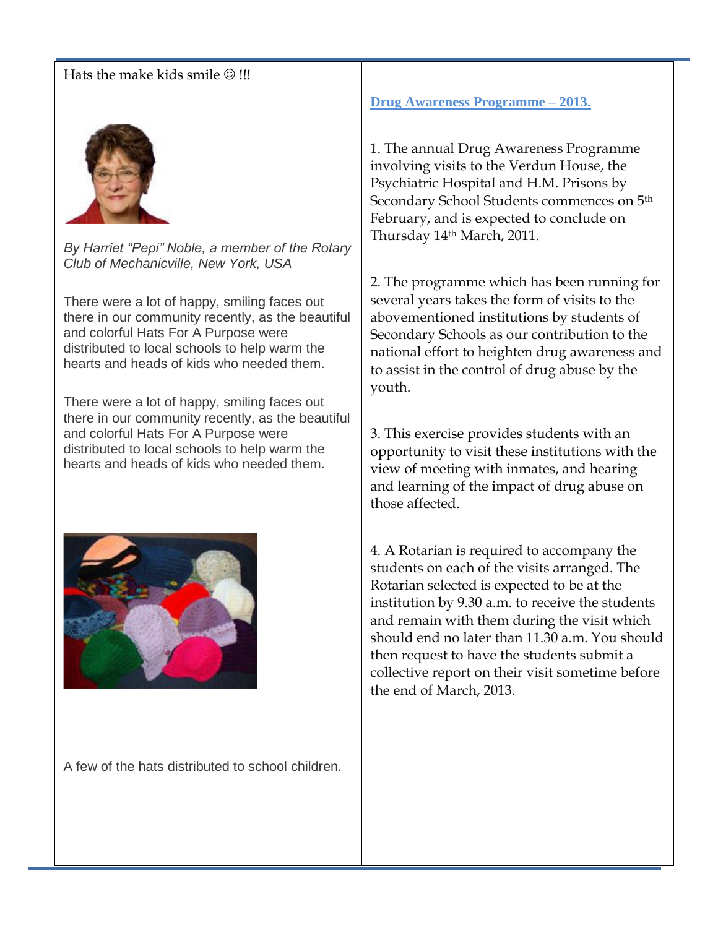#### Hats the make kids smile  $\odot$  !!!



*By Harriet "Pepi" Noble, a member of the Rotary Club of Mechanicville, New York, USA*

There were a lot of happy, smiling faces out there in our community recently, as the beautiful and colorful Hats For A Purpose were distributed to local schools to help warm the hearts and heads of kids who needed them.

There were a lot of happy, smiling faces out there in our community recently, as the beautiful and colorful Hats For A Purpose were distributed to local schools to help warm the hearts and heads of kids who needed them.



A few of the hats distributed to school children.

**Drug Awareness Programme – 2013.**

1. The annual Drug Awareness Programme involving visits to the Verdun House, the Psychiatric Hospital and H.M. Prisons by Secondary School Students commences on 5th February, and is expected to conclude on Thursday 14th March, 2011.

2. The programme which has been running for several years takes the form of visits to the abovementioned institutions by students of Secondary Schools as our contribution to the national effort to heighten drug awareness and to assist in the control of drug abuse by the youth.

3. This exercise provides students with an opportunity to visit these institutions with the view of meeting with inmates, and hearing and learning of the impact of drug abuse on those affected.

4. A Rotarian is required to accompany the students on each of the visits arranged. The Rotarian selected is expected to be at the institution by 9.30 a.m. to receive the students and remain with them during the visit which should end no later than 11.30 a.m. You should then request to have the students submit a collective report on their visit sometime before the end of March, 2013.